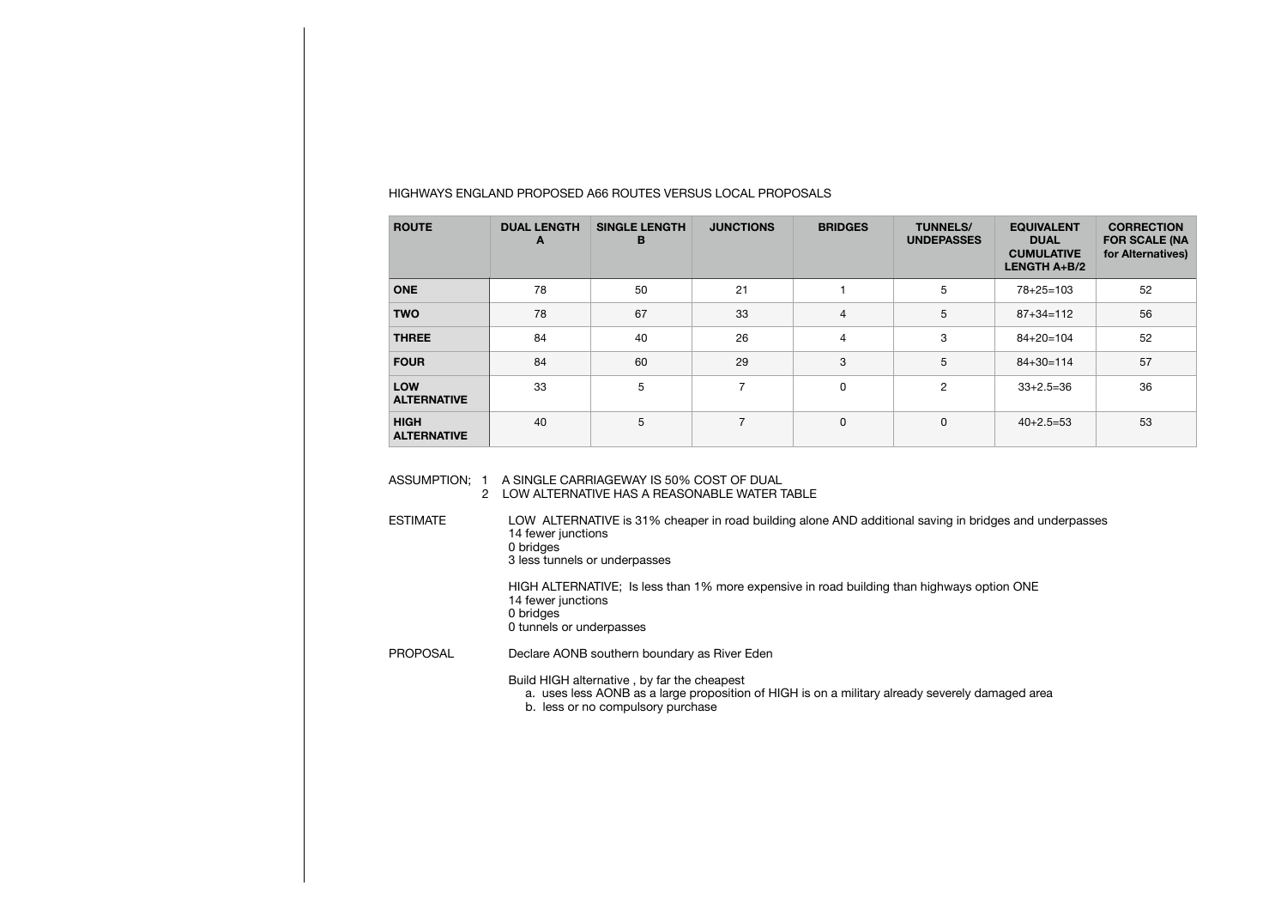| <b>ROUTE</b>                      | <b>DUAL LENGTH</b><br>A | <b>SINGLE LENGTH</b><br>в | <b>JUNCTIONS</b> | <b>BRIDGES</b> | <b>TUNNELS/</b><br><b>UNDEPASSES</b> | <b>EQUIVALENT</b><br><b>DUAL</b><br><b>CUMULATIVE</b><br><b>LENGTH <math>A+B/2</math></b> | <b>CORRECTION</b><br><b>FOR SCALE (NA</b><br>for Alternatives) |
|-----------------------------------|-------------------------|---------------------------|------------------|----------------|--------------------------------------|-------------------------------------------------------------------------------------------|----------------------------------------------------------------|
| <b>ONE</b>                        | 78                      | 50                        | 21               |                | 5                                    | $78 + 25 = 103$                                                                           | 52                                                             |
| <b>TWO</b>                        | 78                      | 67                        | 33               | $\overline{4}$ | 5                                    | $87 + 34 = 112$                                                                           | 56                                                             |
| <b>THREE</b>                      | 84                      | 40                        | 26               | 4              | 3                                    | $84 + 20 = 104$                                                                           | 52                                                             |
| <b>FOUR</b>                       | 84                      | 60                        | 29               | 3              | 5                                    | $84 + 30 = 114$                                                                           | 57                                                             |
| <b>LOW</b><br><b>ALTERNATIVE</b>  | 33                      | 5                         | $\overline{ }$   | 0              | $\overline{c}$                       | $33+2.5=36$                                                                               | 36                                                             |
| <b>HIGH</b><br><b>ALTERNATIVE</b> | 40                      | 5                         | $\overline{ }$   | 0              | 0                                    | $40+2.5=53$                                                                               | 53                                                             |

## HIGHWAYS ENGLAND PROPOSED A66 ROUTES VERSUS LOCAL PROPOSALS

ASSUMPTION; 1 A SINGLE CARRIAGEWAY IS 50% COST OF DUAL 2 LOW ALTERNATIVE HAS A REASONABLE WATER TABLE

ESTIMATE LOW ALTERNATIVE is 31% cheaper in road building alone AND additional saving in bridges and underpasses 14 fewer junctions 0 bridges 3 less tunnels or underpasses

 HIGH ALTERNATIVE; Is less than 1% more expensive in road building than highways option ONE 14 fewer junctions 0 bridges 0 tunnels or underpasses

PROPOSAL Declare AONB southern boundary as River Eden

 Build HIGH alternative , by far the cheapest a. uses less AONB as a large proposition of HIGH is on a military already severely damaged area b. less or no compulsory purchase